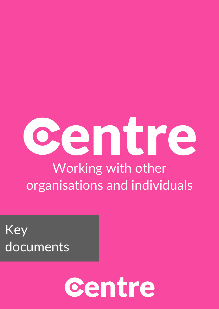

# Working with other organisations and individuals

Key documents

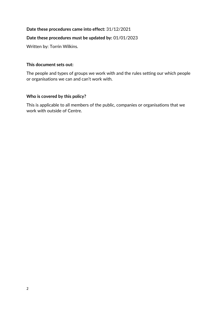# **Date these procedures came into effect:** 31/12/2021

# **Date these procedures must be updated by:** 01/01/2023

Written by: Torrin Wilkins.

### **This document sets out:**

The people and types of groups we work with and the rules setting our which people or organisations we can and can't work with.

# **Who is covered by this policy?**

This is applicable to all members of the public, companies or organisations that we work with outside of Centre.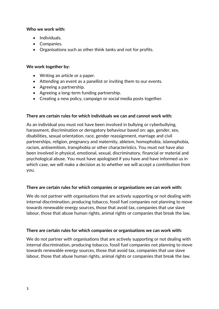#### **Who we work with:**

- Individuals.
- Companies.
- Organisations such as other think tanks and not for profits.

# **We work together by:**

- Writing an article or a paper.
- Attending an event as a panellist or inviting them to our events.
- Agreeing a partnership.
- Agreeing a long-term funding partnership.
- Creating a new policy, campaign or social media posts together.

#### **There are certain rules for which individuals we can and cannot work with:**

As an individual you must not have been involved in bullying or cyberbullying, harassment, discrimination or derogatory behaviour based on: age, gender, sex, disabilities, sexual orientation, race, gender reassignment, marriage and civil partnerships, religion, pregnancy and maternity, ableism, homophobia, islamophobia, racism, antisemitism, transphobia or other characteristics. You must not have also been involved in physical, emotional, sexual, discriminatory, financial or material and psychological abuse. You must have apologised if you have and have informed us in which case, we will make a decision as to whether we will accept a contribution from you.

# **There are certain rules for which companies or organisations we can work with:**

We do not partner with organisations that are actively supporting or not dealing with internal discrimination, producing tobacco, fossil fuel companies not planning to move towards renewable energy sources, those that avoid tax, companies that use slave labour, those that abuse human rights, animal rights or companies that break the law.

#### **There are certain rules for which companies or organisations we can work with:**

We do not partner with organisations that are actively supporting or not dealing with internal discrimination, producing tobacco, fossil fuel companies not planning to move towards renewable energy sources, those that avoid tax, companies that use slave labour, those that abuse human rights, animal rights or companies that break the law.